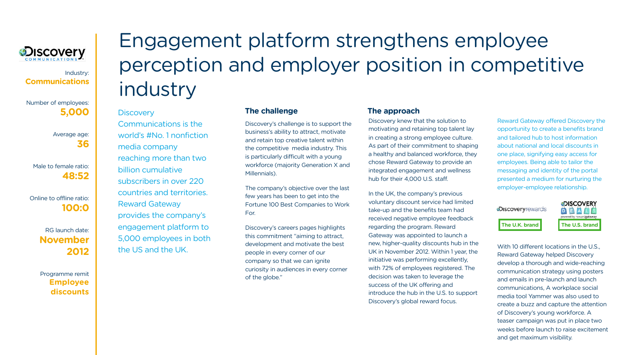Discovery's challenge is to support the business's ability to attract, motivate and retain top creative talent within the competitive media industry. This is particularly difficult with a young workforce (majority Generation X and Millennials).

The company's objective over the last few years has been to get into the Fortune 100 Best Companies to Work For.

Discovery's careers pages highlights this commitment "aiming to attract, development and motivate the best people in every corner of our company so that we can ignite curiosity in audiences in every corner of the globe."

Discovery knew that the solution to motivating and retaining top talent lay in creating a strong employee culture. As part of their commitment to shaping a healthy and balanced workforce, they chose Reward Gateway to provide an integrated engagement and wellness hub for their 4,000 U.S. staff.

In the UK, the company's previous voluntary discount service had limited take-up and the benefits team had received negative employee feedback regarding the program. Reward Gateway was appointed to launch a new, higher-quality discounts hub in the UK in November 2012. Within 1 year, the initiative was performing excellently, with 72% of employees registered. The decision was taken to leverage the success of the UK offering and introduce the hub in the U.S. to support Discovery's global reward focus.

Reward Gateway offered Discovery the opportunity to create a benefits brand and tailored hub to host information about national and local discounts in one place, signifying easy access for employees. Being able to tailor the messaging and identity of the portal presented a medium for nurturing the employer-employee relationship.

With 10 different locations in the U.S., Reward Gateway helped Discovery develop a thorough and wide-reaching communication strategy using posters and emails in pre-launch and launch communications, A workplace social media tool Yammer was also used to create a buzz and capture the attention of Discovery's young workforce. A teaser campaign was put in place two weeks before launch to raise excitement and get maximum visibility.





# Engagement platform strengthens employee perception and employer position in competitive industry

#### **Discovery**

#### **The challenge The approach**



#### Industry: **Communications**

Number of employees: **5,000** 

> Average age: **36**

Male to female ratio: **48:52**

Online to offline ratio: **100:0** 

> RG launch date: **November 2012**

> Programme remit **Employee discounts**

Communications is the world's #No. 1 nonfiction media company reaching more than two billion cumulative subscribers in over 220 countries and territories. Reward Gateway provides the company's engagement platform to 5,000 employees in both the US and the UK.